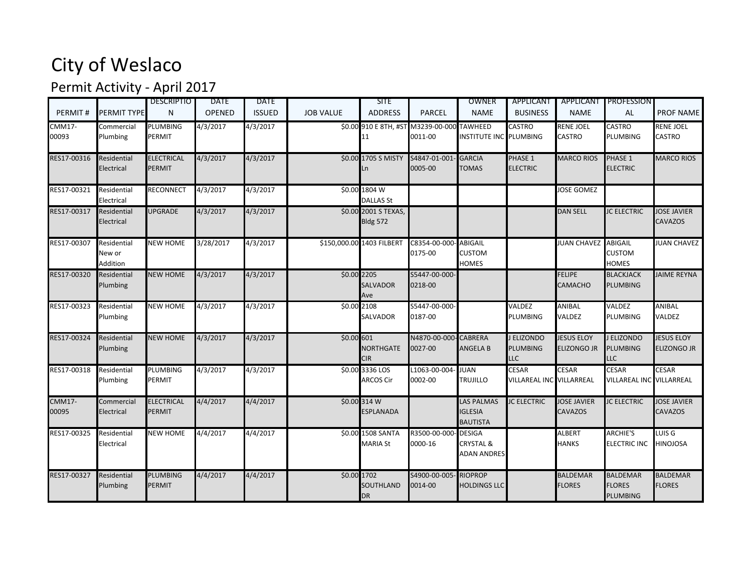## City of Weslaco

## Permit Activity - April 2017

|                        |                                   | <b>DESCRIPTIO</b>           | DATE          | <b>DATE</b>   |                  | <b>SITE</b>                                |                          | OWNER                                                       | APPLICANT                                   |                                  | APPLICANT PROFESSION                                |                                         |
|------------------------|-----------------------------------|-----------------------------|---------------|---------------|------------------|--------------------------------------------|--------------------------|-------------------------------------------------------------|---------------------------------------------|----------------------------------|-----------------------------------------------------|-----------------------------------------|
| PERMIT#                | <b>PERMIT TYPE</b>                | N                           | <b>OPENED</b> | <b>ISSUED</b> | <b>JOB VALUE</b> | <b>ADDRESS</b>                             | PARCEL                   | <b>NAME</b>                                                 | <b>BUSINESS</b>                             | <b>NAME</b>                      | AL                                                  | <b>PROF NAME</b>                        |
| <b>CMM17-</b><br>00093 | Commercial<br>Plumbing            | <b>PLUMBING</b><br>PERMIT   | 4/3/2017      | 4/3/2017      |                  | \$0.00 910 E 8TH, #ST<br>L1                | M3239-00-000<br>0011-00  | <b>TAWHEED</b><br>INSTITUTE INC PLUMBING                    | <b>CASTRO</b>                               | <b>RENE JOEL</b><br>CASTRO       | <b>CASTRO</b><br>PLUMBING                           | RENE JOEL<br><b>CASTRO</b>              |
| RES17-00316            | Residential<br>Electrical         | <b>ELECTRICAL</b><br>PERMIT | 4/3/2017      | 4/3/2017      |                  | \$0.00 1705 S MISTY<br>n.                  | S4847-01-001<br>0005-00  | <b>GARCIA</b><br><b>TOMAS</b>                               | PHASE 1<br><b>ELECTRIC</b>                  | <b>MARCO RIOS</b>                | PHASE 1<br><b>ELECTRIC</b>                          | <b>MARCO RIOS</b>                       |
| RES17-00321            | Residential<br>Electrical         | RECONNECT                   | 4/3/2017      | 4/3/2017      |                  | \$0.00 1804 W<br><b>DALLAS St</b>          |                          |                                                             |                                             | <b>JOSE GOMEZ</b>                |                                                     |                                         |
| RES17-00317            | Residential<br>Electrical         | <b>UPGRADE</b>              | 4/3/2017      | 4/3/2017      |                  | \$0.00 2001 S TEXAS,<br><b>Bldg 572</b>    |                          |                                                             |                                             | <b>DAN SELL</b>                  | <b>JC ELECTRIC</b>                                  | <b>JOSE JAVIER</b><br><b>CAVAZOS</b>    |
| RES17-00307            | Residential<br>New or<br>Addition | <b>NEW HOME</b>             | 3/28/2017     | 4/3/2017      |                  | \$150,000.00 1403 FILBERT                  | C8354-00-000<br>0175-00  | ABIGAIL<br><b>CUSTOM</b><br><b>HOMES</b>                    |                                             | <b>JUAN CHAVEZ</b>               | <b>ABIGAIL</b><br>CUSTOM<br><b>HOMES</b>            | <b>JUAN CHAVEZ</b>                      |
| RES17-00320            | Residential<br>Plumbing           | <b>NEW HOME</b>             | 4/3/2017      | 4/3/2017      | \$0.00 2205      | <b>SALVADOR</b><br>Ave                     | S5447-00-000-<br>0218-00 |                                                             |                                             | <b>FELIPE</b><br><b>CAMACHO</b>  | <b>BLACKJACK</b><br><b>PLUMBING</b>                 | <b>JAIME REYNA</b>                      |
| RES17-00323            | Residential<br>Plumbing           | <b>NEW HOME</b>             | 4/3/2017      | 4/3/2017      |                  | $$0.00$ <sub>2108</sub><br><b>SALVADOR</b> | S5447-00-000-<br>0187-00 |                                                             | VALDEZ<br><b>PLUMBING</b>                   | ANIBAL<br>VALDEZ                 | VALDEZ<br><b>PLUMBING</b>                           | ANIBAL<br>VALDEZ                        |
| RES17-00324            | Residential<br>Plumbing           | <b>NEW HOME</b>             | 4/3/2017      | 4/3/2017      | \$0.00 601       | NORTHGATE<br>CIR                           | N4870-00-000<br>0027-00  | - CABRERA<br><b>ANGELA B</b>                                | J ELIZONDO<br><b>PLUMBING</b><br><b>LLC</b> | <b>JESUS ELOY</b><br>ELIZONGO JR | <b>ELIZONDO</b><br>PLUMBING<br>LLC                  | <b>JESUS ELOY</b><br><b>ELIZONGO JR</b> |
| RES17-00318            | Residential<br>Plumbing           | PLUMBING<br>PERMIT          | 4/3/2017      | 4/3/2017      |                  | \$0.00 3336 LOS<br>ARCOS Cir               | L1063-00-004<br>0002-00  | <b>JUAN</b><br><b>TRUJILLO</b>                              | <b>CESAR</b><br>VILLAREAL INC VILLARREAL    | <b>CESAR</b>                     | CESAR<br><b>/ILLAREAL INC</b>                       | <b>CESAR</b><br>VILLARREAL              |
| <b>CMM17-</b><br>00095 | Commercial<br>Electrical          | <b>ELECTRICAL</b><br>PERMIT | 4/4/2017      | 4/4/2017      |                  | \$0.00 314 W<br><b>SPLANADA</b>            |                          | LAS PALMAS<br><b>IGLESIA</b><br><b>BAUTISTA</b>             | <b>JC ELECTRIC</b>                          | <b>JOSE JAVIER</b><br>CAVAZOS    | <b>JC ELECTRIC</b>                                  | <b>JOSE JAVIER</b><br><b>CAVAZOS</b>    |
| RES17-00325            | Residential<br>Electrical         | <b>NEW HOME</b>             | 4/4/2017      | 4/4/2017      |                  | \$0.00 1508 SANTA<br>MARIA St              | R3500-00-000<br>0000-16  | <b>DESIGA</b><br><b>CRYSTAL &amp;</b><br><b>ADAN ANDRES</b> |                                             | <b>ALBERT</b><br><b>HANKS</b>    | <b>ARCHIE'S</b><br>ELECTRIC INC                     | LUIS G<br>HINOJOSA                      |
| RES17-00327            | Residential<br>Plumbing           | <b>PLUMBING</b><br>PERMIT   | 4/4/2017      | 4/4/2017      | \$0.00 1702      | SOUTHLAND<br><b>DR</b>                     | S4900-00-005<br>0014-00  | <b>RIOPROP</b><br><b>HOLDINGS LLC</b>                       |                                             | <b>BALDEMAR</b><br><b>FLORES</b> | <b>BALDEMAR</b><br><b>FLORES</b><br><b>PLUMBING</b> | <b>BALDEMAR</b><br><b>FLORES</b>        |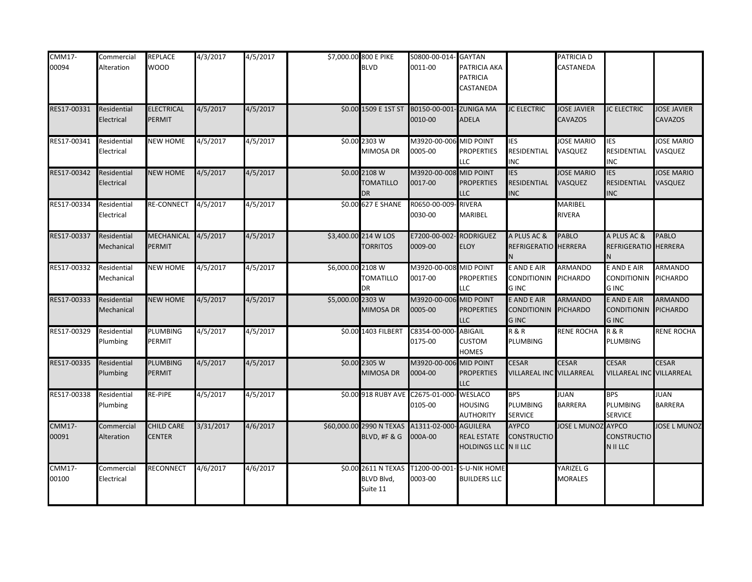| <b>CMM17-</b><br>00094 | Commercial<br>Alteration  | <b>REPLACE</b><br><b>WOOD</b>        | 4/3/2017  | 4/5/2017 |                   | \$7,000.00 800 E PIKE<br><b>BLVD</b>           | S0800-00-014- GAYTAN<br>0011-00                            | PATRICIA AKA<br><b>PATRICIA</b><br>CASTANEDA       |                                                    | <b>PATRICIA D</b><br>CASTANEDA       |                                                    |                                      |
|------------------------|---------------------------|--------------------------------------|-----------|----------|-------------------|------------------------------------------------|------------------------------------------------------------|----------------------------------------------------|----------------------------------------------------|--------------------------------------|----------------------------------------------------|--------------------------------------|
| RES17-00331            | Residential<br>Electrical | <b>ELECTRICAL</b><br><b>PERMIT</b>   | 4/5/2017  | 4/5/2017 |                   | \$0.00 1509 E 1ST ST                           | B0150-00-001- ZUNIGA MA<br>0010-00                         | <b>ADELA</b>                                       | <b>JC ELECTRIC</b>                                 | <b>JOSE JAVIER</b><br><b>CAVAZOS</b> | <b>JC ELECTRIC</b>                                 | <b>JOSE JAVIER</b><br><b>CAVAZOS</b> |
| RES17-00341            | Residential<br>Electrical | <b>NEW HOME</b>                      | 4/5/2017  | 4/5/2017 |                   | \$0.00 2303 W<br>MIMOSA DR                     | M3920-00-006 MID POINT<br>0005-00                          | <b>PROPERTIES</b><br><b>LLC</b>                    | <b>IES</b><br>RESIDENTIAL<br><b>INC</b>            | <b>JOSE MARIO</b><br>VASQUEZ         | IES<br>RESIDENTIAL<br>INC                          | <b>JOSE MARIO</b><br>VASQUEZ         |
| RES17-00342            | Residential<br>Electrical | <b>NEW HOME</b>                      | 4/5/2017  | 4/5/2017 |                   | \$0.00 2108 W<br><b>TOMATILLO</b><br><b>DR</b> | M3920-00-008 MID POINT<br>0017-00                          | <b>PROPERTIES</b><br><b>LLC</b>                    | <b>IES</b><br>RESIDENTIAL<br><b>INC</b>            | <b>JOSE MARIO</b><br>VASQUEZ         | <b>IES</b><br><b>RESIDENTIAL</b><br><b>INC</b>     | <b>JOSE MARIO</b><br>VASQUEZ         |
| RES17-00334            | Residential<br>Electrical | RE-CONNECT                           | 4/5/2017  | 4/5/2017 |                   | \$0.00 627 E SHANE                             | R0650-00-009<br>0030-00                                    | <b>RIVERA</b><br><b>MARIBEL</b>                    |                                                    | MARIBEL<br><b>RIVERA</b>             |                                                    |                                      |
| RES17-00337            | Residential<br>Mechanical | MECHANICAL 4/5/2017<br><b>PERMIT</b> |           | 4/5/2017 |                   | \$3,400.00 214 W LOS<br><b>TORRITOS</b>        | E7200-00-002- RODRIGUEZ<br>0009-00                         | <b>ELOY</b>                                        | A PLUS AC &<br>REFRIGERATIO HERRERA                | <b>PABLO</b>                         | A PLUS AC &<br><b>REFRIGERATIO</b>                 | PABLO<br><b>HERRERA</b>              |
| RES17-00332            | Residential<br>Mechanical | <b>NEW HOME</b>                      | 4/5/2017  | 4/5/2017 | \$6,000.00 2108 W | <b>TOMATILLO</b><br>DR                         | M3920-00-008 MID POINT<br>0017-00                          | <b>PROPERTIES</b><br>LLC                           | E AND E AIR<br>CONDITIONIN PICHARDO<br><b>GINC</b> | <b>ARMANDO</b>                       | E AND E AIR<br>CONDITIONIN PICHARDO<br><b>GINC</b> | <b>ARMANDO</b>                       |
| RES17-00333            | Residential<br>Mechanical | <b>NEW HOME</b>                      | 4/5/2017  | 4/5/2017 | \$5,000.00 2303 W | MIMOSA DR                                      | M3920-00-006 MID POINT<br>0005-00                          | <b>PROPERTIES</b><br><b>LLC</b>                    | E AND E AIR<br>CONDITIONIN PICHARDO<br><b>GINC</b> | <b>ARMANDO</b>                       | E AND E AIR<br><b>CONDITIONIN</b><br><b>GINC</b>   | ARMANDO<br>PICHARDO                  |
| RES17-00329            | Residential<br>Plumbing   | PLUMBING<br>PERMIT                   | 4/5/2017  | 4/5/2017 |                   | \$0.00 1403 FILBERT                            | C8354-00-000- ABIGAIL<br>0175-00                           | <b>CUSTOM</b><br><b>HOMES</b>                      | <b>R&amp;R</b><br><b>PLUMBING</b>                  | <b>RENE ROCHA</b>                    | <b>R&amp;R</b><br>PLUMBING                         | <b>RENE ROCHA</b>                    |
| RES17-00335            | Residential<br>Plumbing   | <b>PLUMBING</b><br>PERMIT            | 4/5/2017  | 4/5/2017 |                   | \$0.00 2305 W<br>MIMOSA DR                     | M3920-00-006 MID POINT<br>0004-00                          | <b>PROPERTIES</b><br>LLC                           | <b>CESAR</b><br>VILLAREAL INC VILLARREAL           | <b>CESAR</b>                         | <b>CESAR</b><br>VILLAREAL INC VILLARREAL           | CESAR                                |
| RES17-00338            | Residential<br>Plumbing   | RE-PIPE                              | 4/5/2017  | 4/5/2017 |                   |                                                | \$0.00 918 RUBY AVE C2675-01-000- WESLACO<br>0105-00       | <b>HOUSING</b><br><b>AUTHORITY</b>                 | <b>BPS</b><br>PLUMBING<br><b>SERVICE</b>           | <b>JUAN</b><br><b>BARRERA</b>        | <b>BPS</b><br>PLUMBING<br><b>SERVICE</b>           | <b>JUAN</b><br><b>BARRERA</b>        |
| <b>CMM17-</b><br>00091 | Commercial<br>Alteration  | <b>CHILD CARE</b><br><b>CENTER</b>   | 3/31/2017 | 4/6/2017 |                   | BLVD, #F & G                                   | \$60,000.00 2990 N TEXAS A1311-02-000- AGUILERA<br>000A-00 | <b>REAL ESTATE</b><br><b>HOLDINGS LLC</b> N II LLC | <b>AYPCO</b><br><b>CONSTRUCTIO</b>                 | JOSE L MUNOZ AYPCO                   | <b>CONSTRUCTIO</b><br>N II LLC                     | <b>JOSE L MUNOZ</b>                  |
| <b>CMM17-</b><br>00100 | Commercial<br>Electrical  | <b>RECONNECT</b>                     | 4/6/2017  | 4/6/2017 |                   | \$0.00 2611 N TEXAS<br>BLVD Blvd,<br>Suite 11  | T1200-00-001- S-U-NIK HOME<br>0003-00                      | <b>BUILDERS LLC</b>                                |                                                    | YARIZEL G<br><b>MORALES</b>          |                                                    |                                      |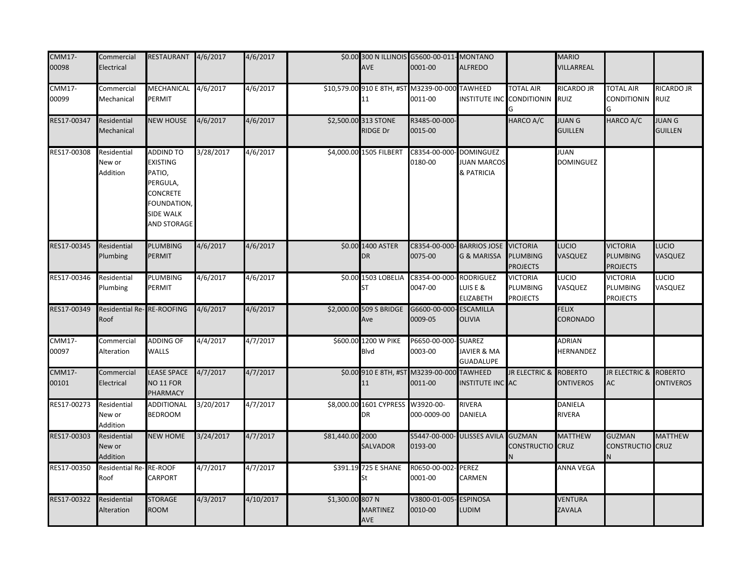| <b>CMM17-</b><br>00098 | Commercial<br>Electrical          | RESTAURANT 4/6/2017                                                                                              |           | 4/6/2017  |                  | <b>AVE</b>                       | \$0.00 300 N ILLINOIS G5600-00-011-MONTANO<br>0001-00      | <b>ALFREDO</b>                                       |                                                       | <b>MARIO</b><br>VILLARREAL         |                                                |                                 |
|------------------------|-----------------------------------|------------------------------------------------------------------------------------------------------------------|-----------|-----------|------------------|----------------------------------|------------------------------------------------------------|------------------------------------------------------|-------------------------------------------------------|------------------------------------|------------------------------------------------|---------------------------------|
| <b>CMM17-</b><br>00099 | Commercial<br>Mechanical          | MECHANICAL 4/6/2017<br>PERMIT                                                                                    |           | 4/6/2017  |                  | 11                               | \$10,579.00 910 E 8TH, #ST M3239-00-000 TAWHEED<br>0011-00 |                                                      | <b>TOTAL AIR</b><br>INSTITUTE INC CONDITIONIN         | RICARDO JR<br><b>RUIZ</b>          | <b>TOTAL AIR</b><br>CONDITIONIN RUIZ           | <b>RICARDO JR</b>               |
| RES17-00347            | Residential<br>Mechanical         | <b>NEW HOUSE</b>                                                                                                 | 4/6/2017  | 4/6/2017  |                  | \$2,500.00 313 STONE<br>RIDGE Dr | R3485-00-000-<br>0015-00                                   |                                                      | HARCO A/C                                             | <b>JUAN G</b><br><b>GUILLEN</b>    | HARCO A/C                                      | <b>IUAN G</b><br><b>GUILLEN</b> |
| RES17-00308            | Residential<br>New or<br>Addition | ADDIND TO<br><b>EXISTING</b><br>PATIO,<br>PERGULA,<br>CONCRETE<br>FOUNDATION,<br><b>SIDE WALK</b><br>AND STORAGE | 3/28/2017 | 4/6/2017  |                  | \$4,000.00 1505 FILBERT          | C8354-00-000<br>0180-00                                    | <b>DOMINGUEZ</b><br><b>JUAN MARCOS</b><br>& PATRICIA |                                                       | <b>JUAN</b><br><b>DOMINGUEZ</b>    |                                                |                                 |
| RES17-00345            | Residential<br>Plumbing           | <b>PLUMBING</b><br>PERMIT                                                                                        | 4/6/2017  | 4/6/2017  |                  | \$0.00 1400 ASTER<br><b>DR</b>   | C8354-00-000-BARRIOS JOSE<br>0075-00                       | <b>G &amp; MARISSA</b>                               | <b>VICTORIA</b><br><b>PLUMBING</b><br><b>PROJECTS</b> | LUCIO<br>VASQUEZ                   | <b>VICTORIA</b><br>PLUMBING<br><b>PROJECTS</b> | LUCIO<br><b>VASQUEZ</b>         |
| RES17-00346            | Residential<br>Plumbing           | PLUMBING<br>PERMIT                                                                                               | 4/6/2017  | 4/6/2017  |                  | \$0.00 1503 LOBELIA<br>SТ        | C8354-00-000<br>0047-00                                    | <b>RODRIGUEZ</b><br>LUIS E &<br><b>ELIZABETH</b>     | <b>VICTORIA</b><br>PLUMBING<br><b>PROJECTS</b>        | LUCIO<br>VASQUEZ                   | <b>VICTORIA</b><br>PLUMBING<br><b>PROJECTS</b> | LUCIO<br>VASQUEZ                |
| RES17-00349            | Residential Re-RE-ROOFING<br>Roof |                                                                                                                  | 4/6/2017  | 4/6/2017  |                  | \$2,000.00 509 S BRIDGE<br>Ave   | G6600-00-000-ESCAMILLA<br>0009-05                          | <b>OLIVIA</b>                                        |                                                       | <b>FELIX</b><br><b>CORONADO</b>    |                                                |                                 |
| <b>CMM17-</b><br>00097 | Commercial<br>Alteration          | <b>ADDING OF</b><br><b>WALLS</b>                                                                                 | 4/4/2017  | 4/7/2017  |                  | \$600.00 1200 W PIKE<br>Blvd     | P6650-00-000- SUAREZ<br>0003-00                            | <b>JAVIER &amp; MA</b><br><b>GUADALUPE</b>           |                                                       | <b>ADRIAN</b><br>HERNANDEZ         |                                                |                                 |
| <b>CMM17-</b><br>00101 | Commercial<br>Electrical          | <b>LEASE SPACE</b><br>NO <sub>11</sub> FOR<br>PHARMACY                                                           | 4/7/2017  | 4/7/2017  |                  | 11                               | \$0.00 910 E 8TH, #ST M3239-00-000 TAWHEED<br>0011-00      | <b>INSTITUTE INC AC</b>                              | JR ELECTRIC &                                         | <b>ROBERTO</b><br><b>ONTIVEROS</b> | JR ELECTRIC & ROBERTO<br>AC                    | <b>ONTIVEROS</b>                |
| RES17-00273            | Residential<br>New or<br>Addition | <b>ADDITIONAL</b><br><b>BEDROOM</b>                                                                              | 3/20/2017 | 4/7/2017  |                  | \$8,000.00 1601 CYPRESS<br>DR    | W3920-00-<br>000-0009-00                                   | RIVERA<br><b>DANIELA</b>                             |                                                       | <b>DANIELA</b><br>RIVERA           |                                                |                                 |
| RES17-00303            | Residential<br>New or<br>Addition | <b>NEW HOME</b>                                                                                                  | 3/24/2017 | 4/7/2017  | \$81,440.00 2000 | SALVADOR                         | S5447-00-000- ULISSES AVILA<br>0193-00                     |                                                      | <b>GUZMAN</b><br><b>CONSTRUCTIO</b> CRUZ<br>N         | <b>MATTHEW</b>                     | <b>GUZMAN</b><br>CONSTRUCTIO CRUZ              | <b>MATTHEW</b>                  |
| RES17-00350            | Residential Re-RE-ROOF<br>Roof    | CARPORT                                                                                                          | 4/7/2017  | 4/7/2017  |                  | \$391.19 725 E SHANE<br>St       | R0650-00-002- PEREZ<br>0001-00                             | CARMEN                                               |                                                       | <b>ANNA VEGA</b>                   |                                                |                                 |
| RES17-00322            | Residential<br>Alteration         | <b>STORAGE</b><br><b>ROOM</b>                                                                                    | 4/3/2017  | 4/10/2017 | \$1,300.00 807 N | <b>MARTINEZ</b><br>AVE           | V3800-01-005<br>0010-00                                    | <b>ESPINOSA</b><br><b>LUDIM</b>                      |                                                       | <b>VENTURA</b><br><b>ZAVALA</b>    |                                                |                                 |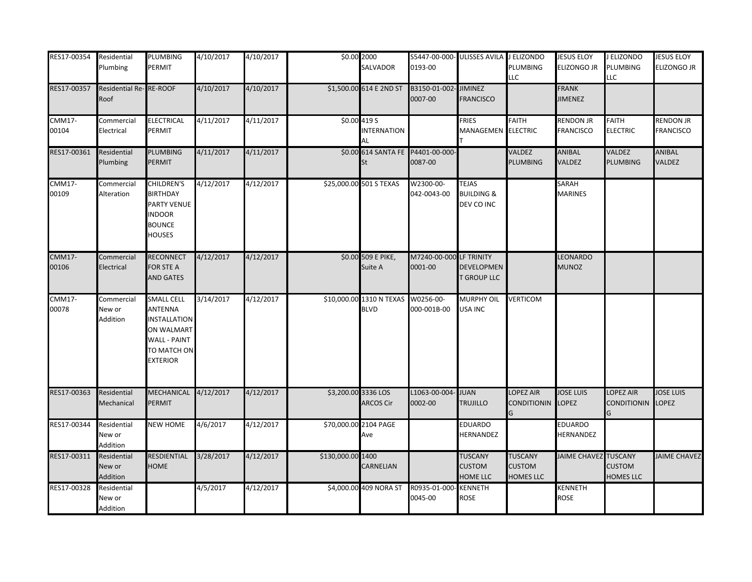| RES17-00354            | Residential<br>Plumbing           | PLUMBING<br>PERMIT                                                                                                         | 4/10/2017 | 4/10/2017 | \$0.00 2000         | SALVADOR                                | 0193-00                            | S5447-00-000- ULISSES AVILA J ELIZONDO              | <b>PLUMBING</b><br><b>LLC</b>                       | <b>JESUS ELOY</b><br>ELIZONGO JR | J ELIZONDO<br>PLUMBING<br>LLC                       | <b>JESUS ELOY</b><br><b>ELIZONGO JR</b> |
|------------------------|-----------------------------------|----------------------------------------------------------------------------------------------------------------------------|-----------|-----------|---------------------|-----------------------------------------|------------------------------------|-----------------------------------------------------|-----------------------------------------------------|----------------------------------|-----------------------------------------------------|-----------------------------------------|
| RES17-00357            | Residential Re-RE-ROOF<br>Roof    |                                                                                                                            | 4/10/2017 | 4/10/2017 |                     | \$1,500.00 614 E 2ND ST                 | B3150-01-002-<br>0007-00           | JIMINEZ<br><b>FRANCISCO</b>                         |                                                     | <b>FRANK</b><br><b>JIMENEZ</b>   |                                                     |                                         |
| <b>CMM17-</b><br>00104 | Commercial<br>Electrical          | <b>ELECTRICAL</b><br>PERMIT                                                                                                | 4/11/2017 | 4/11/2017 |                     | \$0.004195<br><b>NTERNATION</b><br>AL   |                                    | <b>FRIES</b><br>MANAGEMEN ELECTRIC                  | <b>FAITH</b>                                        | RENDON JR<br><b>FRANCISCO</b>    | <b>FAITH</b><br><b>ELECTRIC</b>                     | <b>RENDON JR</b><br><b>FRANCISCO</b>    |
| RES17-00361            | Residential<br>Plumbing           | <b>PLUMBING</b><br>PERMIT                                                                                                  | 4/11/2017 | 4/11/2017 |                     | \$0.00 614 SANTA FE<br>St               | P4401-00-000-<br>0087-00           |                                                     | VALDEZ<br><b>PLUMBING</b>                           | <b>ANIBAL</b><br>VALDEZ          | VALDEZ<br><b>PLUMBING</b>                           | ANIBAL<br><b>VALDEZ</b>                 |
| <b>CMM17-</b><br>00109 | Commercial<br>Alteration          | CHILDREN'S<br><b>BIRTHDAY</b><br>PARTY VENUE<br><b>INDOOR</b><br><b>BOUNCE</b><br><b>HOUSES</b>                            | 4/12/2017 | 4/12/2017 |                     | \$25,000.00 501 S TEXAS                 | W2300-00-<br>042-0043-00           | <b>TEJAS</b><br><b>BUILDING &amp;</b><br>DEV CO INC |                                                     | SARAH<br><b>MARINES</b>          |                                                     |                                         |
| <b>CMM17-</b><br>00106 | Commercial<br>Electrical          | <b>RECONNECT</b><br>FOR STE A<br><b>AND GATES</b>                                                                          | 4/12/2017 | 4/12/2017 |                     | \$0.00 509 E PIKE,<br>Suite A           | M7240-00-000 LF TRINITY<br>0001-00 | DEVELOPMEN<br><b>T GROUP LLC</b>                    |                                                     | LEONARDO<br><b>MUNOZ</b>         |                                                     |                                         |
| <b>CMM17-</b><br>00078 | Commercial<br>New or<br>Addition  | <b>SMALL CELL</b><br>ANTENNA<br><b>INSTALLATION</b><br>ON WALMART<br><b>WALL - PAINT</b><br>TO MATCH ON<br><b>EXTERIOR</b> | 3/14/2017 | 4/12/2017 |                     | \$10,000.00 1310 N TEXAS<br><b>BLVD</b> | W0256-00-<br>000-001B-00           | MURPHY OIL<br>USA INC                               | <b>VERTICOM</b>                                     |                                  |                                                     |                                         |
| RES17-00363            | Residential<br>Mechanical         | MECHANICAL 4/12/2017<br>PERMIT                                                                                             |           | 4/12/2017 | \$3,200.00 3336 LOS | <b>ARCOS Cir</b>                        | L1063-00-004<br>0002-00            | <b>JUAN</b><br><b>TRUJILLO</b>                      | <b>LOPEZ AIR</b><br><b>CONDITIONIN</b>              | <b>JOSE LUIS</b><br>LOPEZ        | OPEZ AIR<br><b>CONDITIONIN</b>                      | <b>JOSE LUIS</b><br>LOPEZ               |
| RES17-00344            | Residential<br>New or<br>Addition | <b>NEW HOME</b>                                                                                                            | 4/6/2017  | 4/12/2017 |                     | \$70,000.00 2104 PAGE<br>Ave            |                                    | EDUARDO<br>HERNANDEZ                                |                                                     | <b>EDUARDO</b><br>HERNANDEZ      |                                                     |                                         |
| RES17-00311            | Residential<br>New or<br>Addition | RESDIENTIAL<br><b>HOME</b>                                                                                                 | 3/28/2017 | 4/12/2017 | \$130,000.00 1400   | CARNELIAN                               |                                    | <b>TUSCANY</b><br><b>CUSTOM</b><br>HOME LLC         | <b>TUSCANY</b><br><b>CUSTOM</b><br><b>HOMES LLC</b> | <b>JAIME CHAVEZ</b>              | <b>TUSCANY</b><br><b>CUSTOM</b><br><b>HOMES LLC</b> | JAIME CHAVEZ                            |
| RES17-00328            | Residential<br>New or<br>Addition |                                                                                                                            | 4/5/2017  | 4/12/2017 |                     | \$4,000.00 409 NORA ST                  | R0935-01-000<br>0045-00            | <b>KENNETH</b><br>ROSE                              |                                                     | KENNETH<br><b>ROSE</b>           |                                                     |                                         |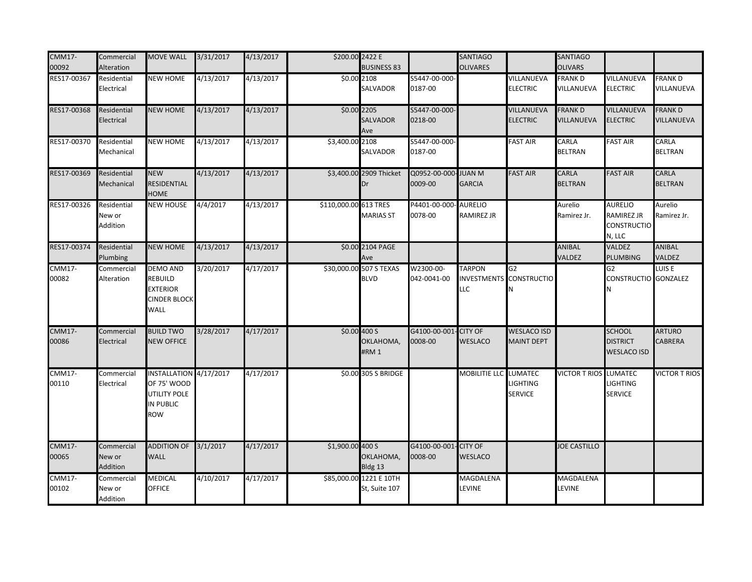| <b>CMM17-</b><br>00092 | Commercial<br>Alteration          | <b>MOVE WALL</b>                                                             | 3/31/2017 | 4/13/2017            | \$200.00 2422 E       | <b>BUSINESS 83</b>                       |                          | <b>SANTIAGO</b><br><b>OLIVARES</b> |                                                | <b>SANTIAGO</b><br><b>OLIVARS</b> |                                                                     |                              |
|------------------------|-----------------------------------|------------------------------------------------------------------------------|-----------|----------------------|-----------------------|------------------------------------------|--------------------------|------------------------------------|------------------------------------------------|-----------------------------------|---------------------------------------------------------------------|------------------------------|
| RES17-00367            | Residential<br>Electrical         | <b>NEW HOME</b>                                                              | 4/13/2017 | 4/13/2017            |                       | \$0.00 2108<br>SALVADOR                  | S5447-00-000-<br>0187-00 |                                    | VILLANUEVA<br><b>ELECTRIC</b>                  | <b>FRANK D</b><br>VILLANUEVA      | VILLANUEVA<br><b>ELECTRIC</b>                                       | <b>FRANK D</b><br>VILLANUEVA |
| RES17-00368            | Residential<br>Electrical         | <b>NEW HOME</b>                                                              | 4/13/2017 | 4/13/2017            | \$0.00 2205           | <b>SALVADOR</b><br>Ave                   | S5447-00-000-<br>0218-00 |                                    | VILLANUEVA<br><b>ELECTRIC</b>                  | <b>FRANK D</b><br>VILLANUEVA      | VILLANUEVA<br><b>ELECTRIC</b>                                       | <b>FRANKD</b><br>VILLANUEVA  |
| RES17-00370            | Residential<br>Mechanical         | NEW HOME                                                                     | 4/13/2017 | $\frac{4}{13}{2017}$ | \$3,400.00 2108       | SALVADOR                                 | S5447-00-000-<br>0187-00 |                                    | <b>FAST AIR</b>                                | CARLA<br><b>BELTRAN</b>           | <b>FAST AIR</b>                                                     | CARLA<br><b>BELTRAN</b>      |
| RES17-00369            | Residential<br>Mechanical         | <b>NEW</b><br>RESIDENTIAL<br><b>HOME</b>                                     | 4/13/2017 | 4/13/2017            |                       | \$3,400.00 2909 Thicket<br>Dr            | Q0952-00-000<br>0009-00  | <b>JUAN M</b><br><b>GARCIA</b>     | <b>FAST AIR</b>                                | CARLA<br><b>BELTRAN</b>           | <b>FAST AIR</b>                                                     | CARLA<br><b>BELTRAN</b>      |
| RES17-00326            | Residential<br>New or<br>Addition | NEW HOUSE                                                                    | 4/4/2017  | 4/13/2017            | \$110,000.00 613 TRES | <b>MARIAS ST</b>                         | P4401-00-000<br>0078-00  | <b>AURELIO</b><br>RAMIREZ JR       |                                                | Aurelio<br>Ramirez Jr.            | <b>AURELIO</b><br><b>RAMIREZ JR</b><br><b>CONSTRUCTIO</b><br>N, LLC | Aurelio<br>Ramirez Jr.       |
| RES17-00374            | Residential<br>Plumbing           | <b>NEW HOME</b>                                                              | 4/13/2017 | 4/13/2017            |                       | \$0.00 2104 PAGE<br>Ave                  |                          |                                    |                                                | ANIBAL<br>VALDEZ                  | VALDEZ<br>PLUMBING                                                  | ANIBAL<br>VALDEZ             |
| <b>CMM17-</b><br>00082 | Commercial<br>Alteration          | <b>DEMO AND</b><br>REBUILD<br><b>EXTERIOR</b><br><b>CINDER BLOCK</b><br>WALL | 3/20/2017 | 4/17/2017            |                       | \$30,000.00 507 S TEXAS<br><b>BLVD</b>   | W2300-00-<br>042-0041-00 | <b>TARPON</b><br>LLC               | G <sub>2</sub><br>INVESTMENTS CONSTRUCTIO<br>N |                                   | G2<br>CONSTRUCTIO GONZALEZ                                          | LUIS E                       |
| <b>CMM17-</b><br>00086 | Commercial<br>Electrical          | <b>BUILD TWO</b><br><b>NEW OFFICE</b>                                        | 3/28/2017 | 4/17/2017            |                       | \$0.00 400 S<br>OKLAHOMA,<br>#RM 1       | G4100-00-001<br>0008-00  | <b>CITY OF</b><br>WESLACO          | <b>WESLACO ISD</b><br><b>MAINT DEPT</b>        |                                   | <b>SCHOOL</b><br><b>DISTRICT</b><br><b>WESLACO ISD</b>              | <b>ARTURO</b><br>CABRERA     |
| <b>CMM17-</b><br>00110 | Commercial<br>Electrical          | INSTALLATION 4/17/2017<br>OF 75' WOOD<br>UTILITY POLE<br>IN PUBLIC<br>ROW    |           | 4/17/2017            |                       | \$0.00 305 S BRIDGE                      |                          | MOBILITIE LLC LUMATEC              | <b>LIGHTING</b><br><b>SERVICE</b>              | <b>VICTOR T RIOS</b>              | <b>LUMATEC</b><br>LIGHTING<br><b>SERVICE</b>                        | <b>VICTOR T RIOS</b>         |
| <b>CMM17-</b><br>00065 | Commercial<br>New or<br>Addition  | <b>ADDITION OF</b><br><b>WALL</b>                                            | 3/1/2017  | 4/17/2017            | \$1,900.00 400 S      | OKLAHOMA,<br>Bldg 13                     | G4100-00-001<br>0008-00  | - CITY OF<br>WESLACO               |                                                | <b>JOE CASTILLO</b>               |                                                                     |                              |
| <b>CMM17-</b><br>00102 | Commercial<br>New or<br>Addition  | <b>MEDICAL</b><br><b>OFFICE</b>                                              | 4/10/2017 | 4/17/2017            |                       | \$85,000.00 1221 E 10TH<br>St, Suite 107 |                          | MAGDALENA<br>LEVINE                |                                                | MAGDALENA<br><b>LEVINE</b>        |                                                                     |                              |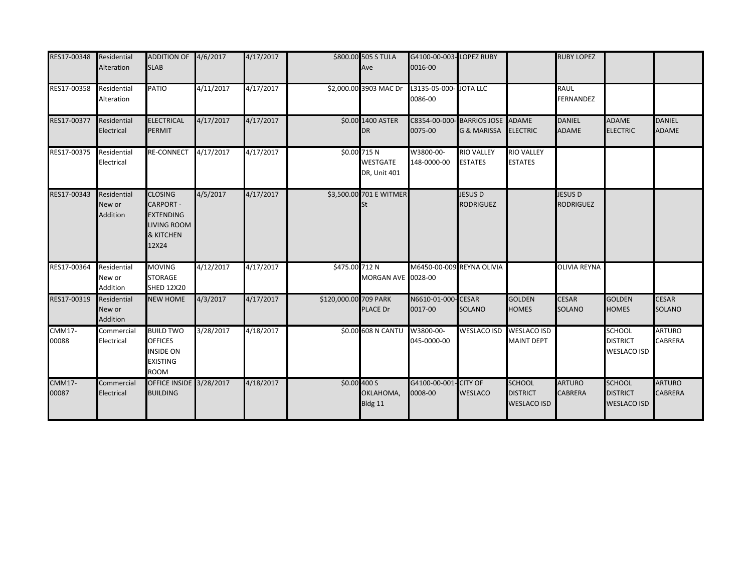| RES17-00348            | Residential<br>Alteration         | ADDITION OF 4/6/2017<br><b>SLAB</b>                                                                           |           | 4/17/2017 |                       | \$800.00 505 S TULA<br>Ave                      | G4100-00-003-LOPEZ RUBY<br>0016-00 |                                                           |                                                        | <b>RUBY LOPEZ</b>                  |                                                        |                                 |
|------------------------|-----------------------------------|---------------------------------------------------------------------------------------------------------------|-----------|-----------|-----------------------|-------------------------------------------------|------------------------------------|-----------------------------------------------------------|--------------------------------------------------------|------------------------------------|--------------------------------------------------------|---------------------------------|
| RES17-00358            | Residential<br>Alteration         | PATIO                                                                                                         | 4/11/2017 | 4/17/2017 |                       | \$2,000.00 3903 MAC Dr                          | L3135-05-000- JOTA LLC<br>0086-00  |                                                           |                                                        | <b>RAUL</b><br><b>FERNANDEZ</b>    |                                                        |                                 |
| RES17-00377            | Residential<br>Electrical         | <b>ELECTRICAL</b><br><b>PERMIT</b>                                                                            | 4/17/2017 | 4/17/2017 |                       | \$0.00 1400 ASTER<br>DR                         | 0075-00                            | C8354-00-000-BARRIOS JOSE ADAME<br><b>G &amp; MARISSA</b> | <b>ELECTRIC</b>                                        | <b>DANIEL</b><br><b>ADAME</b>      | <b>ADAME</b><br><b>ELECTRIC</b>                        | <b>DANIEL</b><br><b>ADAME</b>   |
| RES17-00375            | Residential<br>Electrical         | <b>RE-CONNECT</b>                                                                                             | 4/17/2017 | 4/17/2017 |                       | \$0.00 715 N<br><b>WESTGATE</b><br>DR, Unit 401 | W3800-00-<br>148-0000-00           | <b>RIO VALLEY</b><br><b>ESTATES</b>                       | <b>RIO VALLEY</b><br><b>ESTATES</b>                    |                                    |                                                        |                                 |
| RES17-00343            | Residential<br>New or<br>Addition | <b>CLOSING</b><br><b>CARPORT -</b><br><b>EXTENDING</b><br><b>LIVING ROOM</b><br><b>&amp; KITCHEN</b><br>12X24 | 4/5/2017  | 4/17/2017 |                       | \$3,500.00 701 E WITMER<br>St                   |                                    | <b>JESUS D</b><br><b>RODRIGUEZ</b>                        |                                                        | <b>JESUS D</b><br><b>RODRIGUEZ</b> |                                                        |                                 |
| RES17-00364            | Residential<br>New or<br>Addition | <b>MOVING</b><br><b>STORAGE</b><br><b>SHED 12X20</b>                                                          | 4/12/2017 | 4/17/2017 | \$475.00 712 N        | MORGAN AVE 0028-00                              | M6450-00-009 REYNA OLIVIA          |                                                           |                                                        | <b>OLIVIA REYNA</b>                |                                                        |                                 |
| RES17-00319            | Residential<br>New or<br>Addition | <b>NEW HOME</b>                                                                                               | 4/3/2017  | 4/17/2017 | \$120,000.00 709 PARK | PLACE Dr                                        | N6610-01-000-CESAR<br>0017-00      | <b>SOLANO</b>                                             | <b>GOLDEN</b><br><b>HOMES</b>                          | <b>CESAR</b><br><b>SOLANO</b>      | <b>GOLDEN</b><br>HOMES                                 | <b>CESAR</b><br><b>SOLANO</b>   |
| <b>CMM17-</b><br>00088 | Commercial<br>Electrical          | <b>BUILD TWO</b><br><b>OFFICES</b><br><b>INSIDE ON</b><br><b>EXISTING</b><br><b>ROOM</b>                      | 3/28/2017 | 4/18/2017 |                       | \$0.00 608 N CANTU                              | W3800-00-<br>045-0000-00           | <b>WESLACO ISD</b>                                        | <b>WESLACO ISD</b><br><b>MAINT DEPT</b>                |                                    | <b>SCHOOL</b><br><b>DISTRICT</b><br><b>WESLACO ISD</b> | <b>ARTURO</b><br><b>CABRERA</b> |
| <b>CMM17-</b><br>00087 | Commercial<br>Electrical          | OFFICE INSIDE 3/28/2017<br><b>BUILDING</b>                                                                    |           | 4/18/2017 |                       | \$0.00 400 S<br>OKLAHOMA,<br>Bldg 11            | G4100-00-001- CITY OF<br>0008-00   | <b>WESLACO</b>                                            | <b>SCHOOL</b><br><b>DISTRICT</b><br><b>WESLACO ISD</b> | <b>ARTURO</b><br><b>CABRERA</b>    | <b>SCHOOL</b><br><b>DISTRICT</b><br><b>WESLACO ISD</b> | <b>ARTURO</b><br><b>CABRERA</b> |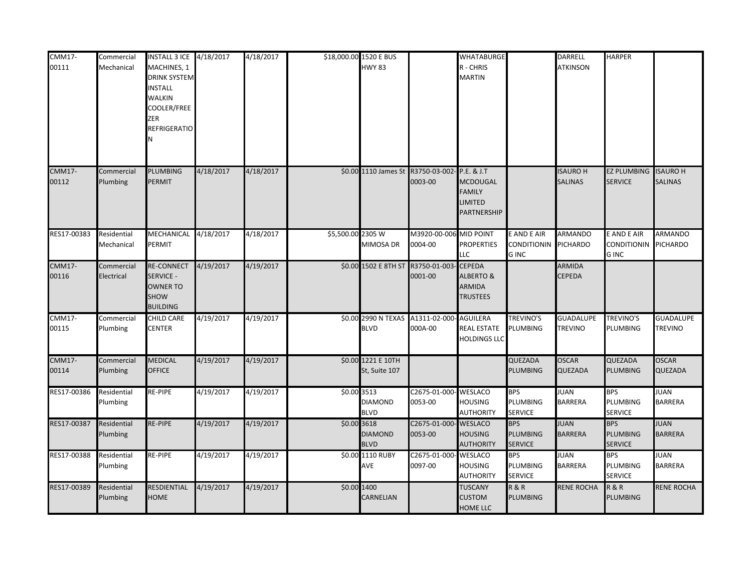| <b>CMM17-</b><br>00111 | Commercial<br>Mechanical  | INSTALL 3 ICE 4/18/2017<br>MACHINES, 1<br><b>DRINK SYSTEM</b><br><b>INSTALL</b><br><b>WALKIN</b><br>COOLER/FREE<br>ZER<br>REFRIGERATIO<br>И |           | 4/18/2017 |                   | \$18,000.00 1520 E BUS<br><b>HWY 83</b> |                                   | <b>WHATABURGE</b><br>R - CHRIS<br><b>MARTIN</b>                                 |                                                  | <b>DARRELL</b><br><b>ATKINSON</b>  | <b>HARPER</b>                                    |                                   |
|------------------------|---------------------------|---------------------------------------------------------------------------------------------------------------------------------------------|-----------|-----------|-------------------|-----------------------------------------|-----------------------------------|---------------------------------------------------------------------------------|--------------------------------------------------|------------------------------------|--------------------------------------------------|-----------------------------------|
| <b>CMM17-</b><br>00112 | Commercial<br>Plumbing    | PLUMBING<br>PERMIT                                                                                                                          | 4/18/2017 | 4/18/2017 |                   | \$0.00 1110 James St                    | R3750-03-002<br>0003-00           | P.E. & J.T<br><b>MCDOUGAL</b><br><b>FAMILY</b><br><b>LIMITED</b><br>PARTNERSHIP |                                                  | <b>ISAURO H</b><br><b>SALINAS</b>  | <b>EZ PLUMBING</b><br><b>SERVICE</b>             | <b>ISAURO H</b><br><b>SALINAS</b> |
| RES17-00383            | Residential<br>Mechanical | MECHANICAL 4/18/2017<br>PERMIT                                                                                                              |           | 4/18/2017 | \$5,500.00 2305 W | <b>MIMOSA DR</b>                        | M3920-00-006 MID POINT<br>0004-00 | <b>PROPERTIES</b><br>LLC                                                        | E AND E AIR<br><b>CONDITIONIN</b><br><b>GINC</b> | <b>ARMANDO</b><br><b>PICHARDO</b>  | E AND E AIR<br><b>CONDITIONIN</b><br><b>GINC</b> | ARMANDO<br>PICHARDO               |
| <b>CMM17-</b><br>00116 | Commercial<br>Electrical  | <b>RE-CONNECT</b><br>SERVICE -<br><b>OWNER TO</b><br>SHOW<br><b>BUILDING</b>                                                                | 4/19/2017 | 4/19/2017 |                   | \$0.00 1502 E 8TH ST                    | R3750-01-003<br>0001-00           | <b>CEPEDA</b><br><b>ALBERTO &amp;</b><br><b>ARMIDA</b><br><b>TRUSTEES</b>       |                                                  | <b>ARMIDA</b><br><b>CEPEDA</b>     |                                                  |                                   |
| <b>CMM17-</b><br>00115 | Commercial<br>Plumbing    | CHILD CARE<br><b>CENTER</b>                                                                                                                 | 4/19/2017 | 4/19/2017 |                   | \$0.00 2990 N TEXAS<br><b>BLVD</b>      | A1311-02-000<br>000A-00           | <b>AGUILERA</b><br><b>REAL ESTATE</b><br><b>HOLDINGS LLC</b>                    | TREVINO'S<br>PLUMBING                            | <b>GUADALUPE</b><br><b>TREVINO</b> | <b>TREVINO'S</b><br><b>PLUMBING</b>              | GUADALUPE<br><b>TREVINO</b>       |
| <b>CMM17-</b><br>00114 | Commercial<br>Plumbing    | MEDICAL<br><b>OFFICE</b>                                                                                                                    | 4/19/2017 | 4/19/2017 |                   | \$0.00 1221 E 10TH<br>St, Suite 107     |                                   |                                                                                 | QUEZADA<br><b>PLUMBING</b>                       | <b>OSCAR</b><br><b>QUEZADA</b>     | QUEZADA<br><b>PLUMBING</b>                       | <b>OSCAR</b><br>QUEZADA           |
| RES17-00386            | Residential<br>Plumbing   | RE-PIPE                                                                                                                                     | 4/19/2017 | 4/19/2017 | \$0.00 3513       | <b>DIAMOND</b><br><b>BLVD</b>           | C2675-01-000-<br>0053-00          | <b>WESLACO</b><br><b>HOUSING</b><br><b>AUTHORITY</b>                            | <b>BPS</b><br>PLUMBING<br><b>SERVICE</b>         | <b>JUAN</b><br><b>BARRERA</b>      | <b>BPS</b><br><b>PLUMBING</b><br><b>SERVICE</b>  | JUAN<br><b>BARRERA</b>            |
| RES17-00387            | Residential<br>Plumbing   | <b>RE-PIPE</b>                                                                                                                              | 4/19/2017 | 4/19/2017 | \$0.00 3618       | <b>DIAMOND</b><br><b>BLVD</b>           | C2675-01-000-<br>0053-00          | - WESLACO<br><b>HOUSING</b><br><b>AUTHORITY</b>                                 | <b>BPS</b><br><b>PLUMBING</b><br><b>SERVICE</b>  | <b>JUAN</b><br><b>BARRERA</b>      | <b>BPS</b><br><b>PLUMBING</b><br><b>SERVICE</b>  | <b>JUAN</b><br><b>BARRERA</b>     |
| RES17-00388            | Residential<br>Plumbing   | RE-PIPE                                                                                                                                     | 4/19/2017 | 4/19/2017 |                   | \$0.00 1110 RUBY<br>AVE                 | C2675-01-000-<br>0097-00          | <b>WESLACO</b><br><b>HOUSING</b><br><b>AUTHORITY</b>                            | <b>BPS</b><br>PLUMBING<br><b>SERVICE</b>         | <b>JUAN</b><br><b>BARRERA</b>      | <b>BPS</b><br>PLUMBING<br><b>SERVICE</b>         | JUAN<br><b>BARRERA</b>            |
| RES17-00389            | Residential<br>Plumbing   | RESDIENTIAL<br>HOME                                                                                                                         | 4/19/2017 | 4/19/2017 | \$0.00 1400       | CARNELIAN                               |                                   | <b>TUSCANY</b><br><b>CUSTOM</b><br><b>HOME LLC</b>                              | <b>R&amp;R</b><br><b>PLUMBING</b>                | <b>RENE ROCHA</b>                  | <b>R&amp;R</b><br><b>PLUMBING</b>                | <b>RENE ROCHA</b>                 |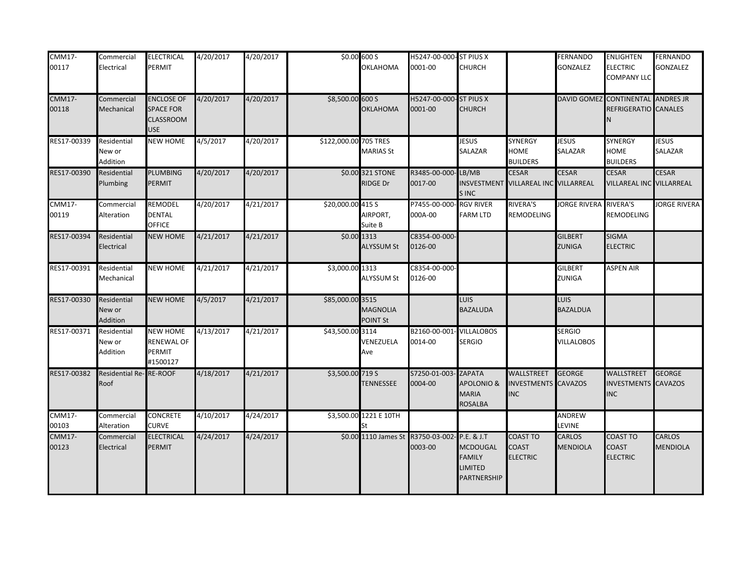| $CMM17-$<br>00117      | Commercial<br>Electrical          | ELECTRICAL<br><b>PERMIT</b>                                             | 4/20/2017 | 4/20/2017 |                       | \$0.00 600 S<br>OKLAHOMA           | H5247-00-000-ST PIUS X<br>0001-00                        | <b>CHURCH</b>                                                     |                                                        | <b>FERNANDO</b><br><b>GONZALEZ</b> | <b>ENLIGHTEN</b><br><b>ELECTRIC</b><br>COMPANY LLC        | <b>FERNANDO</b><br>GONZALEZ     |
|------------------------|-----------------------------------|-------------------------------------------------------------------------|-----------|-----------|-----------------------|------------------------------------|----------------------------------------------------------|-------------------------------------------------------------------|--------------------------------------------------------|------------------------------------|-----------------------------------------------------------|---------------------------------|
| <b>CMM17-</b><br>00118 | Commercial<br>Mechanical          | <b>ENCLOSE OF</b><br><b>SPACE FOR</b><br><b>CLASSROOM</b><br><b>USE</b> | 4/20/2017 | 4/20/2017 | \$8,500.00 600 S      | <b>OKLAHOMA</b>                    | H5247-00-000-ST PIUS X<br>0001-00                        | <b>CHURCH</b>                                                     |                                                        |                                    | DAVID GOMEZ CONTINENTAL ANDRES JR<br>REFRIGERATIO CANALES |                                 |
| RES17-00339            | Residential<br>New or<br>Addition | <b>NEW HOME</b>                                                         | 4/5/2017  | 4/20/2017 | \$122,000.00 705 TRES | <b>MARIAS St</b>                   |                                                          | <b>JESUS</b><br><b>SALAZAR</b>                                    | SYNERGY<br><b>HOME</b><br><b>BUILDERS</b>              | <b>JESUS</b><br>SALAZAR            | SYNERGY<br>HOME<br><b>BUILDERS</b>                        | <b>JESUS</b><br>SALAZAR         |
| RES17-00390            | Residential<br>Plumbing           | <b>PLUMBING</b><br>PERMIT                                               | 4/20/2017 | 4/20/2017 |                       | \$0.00 321 STONE<br>RIDGE Dr       | R3485-00-000-LB/MB<br>0017-00                            | INSVESTMENT<br><b>SINC</b>                                        | <b>CESAR</b><br>VILLAREAL INC VILLARREAL               | <b>CESAR</b>                       | <b>CESAR</b><br>VILLAREAL INC VILLARREAL                  | <b>CESAR</b>                    |
| <b>CMM17-</b><br>00119 | Commercial<br>Alteration          | REMODEL<br><b>DENTAL</b><br><b>OFFICE</b>                               | 4/20/2017 | 4/21/2017 | \$20,000.00 415 S     | AIRPORT,<br>Suite B                | P7455-00-000- RGV RIVER<br>000A-00                       | <b>FARM LTD</b>                                                   | <b>RIVERA'S</b><br>REMODELING                          | JORGE RIVERA                       | <b>RIVERA'S</b><br>REMODELING                             | <b>JORGE RIVERA</b>             |
| RES17-00394            | Residential<br>Electrical         | <b>NEW HOME</b>                                                         | 4/21/2017 | 4/21/2017 |                       | \$0.00 1313<br><b>ALYSSUM St</b>   | C8354-00-000-<br>0126-00                                 |                                                                   |                                                        | <b>GILBERT</b><br><b>ZUNIGA</b>    | <b>SIGMA</b><br><b>ELECTRIC</b>                           |                                 |
| RES17-00391            | Residential<br>Mechanical         | <b>NEW HOME</b>                                                         | 4/21/2017 | 4/21/2017 | \$3,000.00 1313       | <b>ALYSSUM St</b>                  | C8354-00-000-<br>0126-00                                 |                                                                   |                                                        | <b>GILBERT</b><br><b>ZUNIGA</b>    | <b>ASPEN AIR</b>                                          |                                 |
| RES17-00330            | Residential<br>New or<br>Addition | <b>NEW HOME</b>                                                         | 4/5/2017  | 4/21/2017 | \$85,000.00 3515      | <b>MAGNOLIA</b><br><b>POINT St</b> |                                                          | <b>LUIS</b><br><b>BAZALUDA</b>                                    |                                                        | <b>LUIS</b><br><b>BAZALDUA</b>     |                                                           |                                 |
| RES17-00371            | Residential<br>New or<br>Addition | <b>NEW HOME</b><br><b>RENEWAL OF</b><br>PERMIT<br>#1500127              | 4/13/2017 | 4/21/2017 | \$43,500.00 3114      | VENEZUELA<br>Ave                   | B2160-00-001<br>0014-00                                  | <b>VILLALOBOS</b><br><b>SERGIO</b>                                |                                                        | <b>SERGIO</b><br><b>VILLALOBOS</b> |                                                           |                                 |
| RES17-00382            | <b>Residential Re-</b><br>Roof    | <b>RE-ROOF</b>                                                          | 4/18/2017 | 4/21/2017 | \$3,500.00 719 S      | <b>TENNESSEE</b>                   | S7250-01-003- ZAPATA<br>0004-00                          | <b>APOLONIO &amp;</b><br><b>MARIA</b><br><b>ROSALBA</b>           | WALLSTREET<br><b>INVESTMENTS CAVAZOS</b><br><b>INC</b> | GEORGE                             | WALLSTREET<br><b>INVESTMENTS</b><br><b>INC</b>            | <b>GEORGE</b><br><b>CAVAZOS</b> |
| <b>CMM17-</b><br>00103 | Commercial<br>Alteration          | <b>CONCRETE</b><br><b>CURVE</b>                                         | 4/10/2017 | 4/24/2017 |                       | \$3,500.00 1221 E 10TH             |                                                          |                                                                   |                                                        | <b>ANDREW</b><br><b>LEVINE</b>     |                                                           |                                 |
| <b>CMM17-</b><br>00123 | Commercial<br>Electrical          | <b>ELECTRICAL</b><br>PERMIT                                             | 4/24/2017 | 4/24/2017 |                       |                                    | \$0.00 1110 James St R3750-03-002- P.E. & J.T<br>0003-00 | <b>MCDOUGAL</b><br><b>FAMILY</b><br><b>LIMITED</b><br>PARTNERSHIP | <b>COAST TO</b><br><b>COAST</b><br><b>ELECTRIC</b>     | <b>CARLOS</b><br><b>MENDIOLA</b>   | <b>COAST TO</b><br><b>COAST</b><br><b>ELECTRIC</b>        | CARLOS<br><b>MENDIOLA</b>       |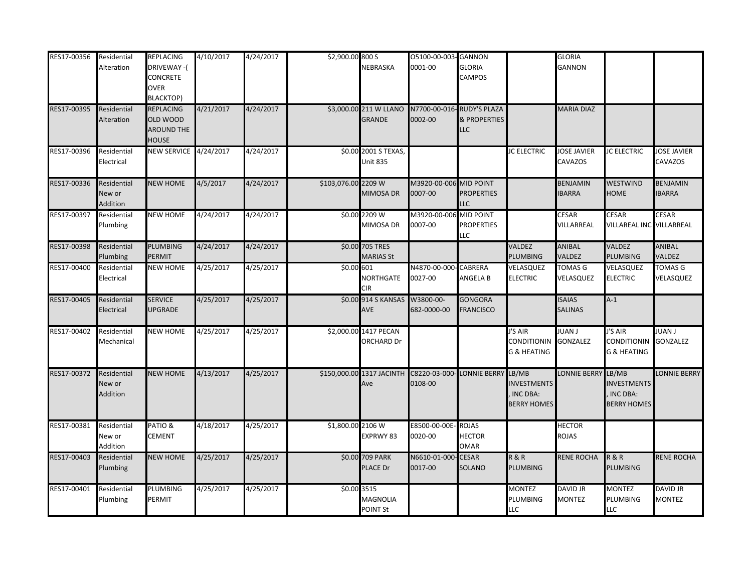| RES17-00356 | Residential<br>Alteration                | <b>REPLACING</b><br>DRIVEWAY-(<br>CONCRETE<br>OVER<br><b>BLACKTOP)</b> | 4/10/2017 | 4/24/2017 | \$2,900.00 800 S    | NEBRASKA                                   | 05100-00-003-GANNON<br>0001-00                     | <b>GLORIA</b><br>CAMPOS                                            |                                                             | <b>GLORIA</b><br>GANNON          |                                                               |                                      |
|-------------|------------------------------------------|------------------------------------------------------------------------|-----------|-----------|---------------------|--------------------------------------------|----------------------------------------------------|--------------------------------------------------------------------|-------------------------------------------------------------|----------------------------------|---------------------------------------------------------------|--------------------------------------|
| RES17-00395 | Residential<br>Alteration                | <b>REPLACING</b><br>OLD WOOD<br><b>AROUND THE</b><br><b>HOUSE</b>      | 4/21/2017 | 4/24/2017 |                     | \$3,000.00 211 W LLANO<br><b>GRANDE</b>    | 0002-00                                            | N7700-00-016-RUDY'S PLAZA<br><b>&amp; PROPERTIES</b><br><b>LLC</b> |                                                             | <b>MARIA DIAZ</b>                |                                                               |                                      |
| RES17-00396 | Residential<br>Electrical                | <b>NEW SERVICE 4/24/2017</b>                                           |           | 4/24/2017 |                     | \$0.00 2001 S TEXAS,<br><b>Unit 835</b>    |                                                    |                                                                    | <b>JC ELECTRIC</b>                                          | <b>JOSE JAVIER</b><br>CAVAZOS    | <b>JC ELECTRIC</b>                                            | <b>JOSE JAVIER</b><br><b>CAVAZOS</b> |
| RES17-00336 | Residential<br>New or<br><b>Addition</b> | <b>NEW HOME</b>                                                        | 4/5/2017  | 4/24/2017 | \$103,076.00 2209 W | MIMOSA DR                                  | M3920-00-006<br>0007-00                            | <b>MID POINT</b><br><b>PROPERTIES</b><br><b>LLC</b>                |                                                             | <b>BENJAMIN</b><br><b>IBARRA</b> | WESTWIND<br>HOME                                              | <b>BENJAMIN</b><br><b>IBARRA</b>     |
| RES17-00397 | Residential<br>Plumbing                  | <b>NEW HOME</b>                                                        | 4/24/2017 | 4/24/2017 |                     | \$0.00 2209 W<br>MIMOSA DR                 | M3920-00-00<br>0007-00                             | <b>MID POINT</b><br><b>PROPERTIES</b><br><b>LLC</b>                |                                                             | CESAR<br>VILLARREAL              | CESAR<br>VILLAREAL INC VILLARREAL                             | CESAR                                |
| RES17-00398 | Residential<br>Plumbing                  | PLUMBING<br><b>PERMIT</b>                                              | 4/24/2017 | 4/24/2017 |                     | \$0.00 705 TRES<br><b>MARIAS St</b>        |                                                    |                                                                    | <b>VALDEZ</b><br><b>PLUMBING</b>                            | <b>ANIBAL</b><br>VALDEZ          | VALDEZ<br>PLUMBING                                            | <b>ANIBAL</b><br>VALDEZ              |
| RES17-00400 | Residential<br>Electrical                | <b>NEW HOME</b>                                                        | 4/25/2017 | 4/25/2017 | \$0.00 601          | NORTHGATE<br><b>CIR</b>                    | N4870-00-000-CABRERA<br>0027-00                    | <b>ANGELA B</b>                                                    | VELASQUEZ<br><b>ELECTRIC</b>                                | <b>TOMAS G</b><br>VELASQUEZ      | VELASQUEZ<br><b>ELECTRIC</b>                                  | <b>TOMAS G</b><br>VELASQUEZ          |
| RES17-00405 | Residential<br>Electrical                | <b>SERVICE</b><br><b>UPGRADE</b>                                       | 4/25/2017 | 4/25/2017 |                     | \$0.00 914 S KANSAS<br>AVE                 | W3800-00-<br>682-0000-00                           | <b>GONGORA</b><br><b>FRANCISCO</b>                                 |                                                             | <b>ISAIAS</b><br><b>SALINAS</b>  | $A-1$                                                         |                                      |
| RES17-00402 | Residential<br>Mechanical                | <b>NEW HOME</b>                                                        | 4/25/2017 | 4/25/2017 |                     | \$2,000.00 1417 PECAN<br>ORCHARD Dr        |                                                    |                                                                    | I'S AIR<br><b>CONDITIONIN</b><br><b>G &amp; HEATING</b>     | <b>JUAN J</b><br><b>GONZALEZ</b> | J'S AIR<br>CONDITIONIN GONZALEZ<br><b>G &amp; HEATING</b>     | <b>LIANJ</b>                         |
| RES17-00372 | Residential<br>New or<br><b>Addition</b> | <b>NEW HOME</b>                                                        | 4/13/2017 | 4/25/2017 |                     | Ave                                        | \$150,000.00 1317 JACINTH C8220-03-000-<br>0108-00 | LONNIE BERRY LB/MB                                                 | <b>INVESTMENTS</b><br><b>INC DBA:</b><br><b>BERRY HOMES</b> | LONNIE BERRY                     | LB/MB<br><b>INVESTMENTS</b><br>INC DBA:<br><b>BERRY HOMES</b> | LONNIE BERRY                         |
| RES17-00381 | Residential<br>New or<br>Addition        | PATIO&<br><b>CEMENT</b>                                                | 4/18/2017 | 4/25/2017 | \$1,800.00 2106 W   | EXPRWY 83                                  | E8500-00-00E<br>0020-00                            | <b>ROJAS</b><br><b>HECTOR</b><br><b>OMAR</b>                       |                                                             | <b>HECTOR</b><br><b>ROJAS</b>    |                                                               |                                      |
| RES17-00403 | Residential<br>Plumbing                  | <b>NEW HOME</b>                                                        | 4/25/2017 | 4/25/2017 |                     | \$0.00 709 PARK<br>PLACE Dr                | N6610-01-000<br>0017-00                            | - CESAR<br>SOLANO                                                  | <b>R&amp;R</b><br><b>PLUMBING</b>                           | <b>RENE ROCHA</b>                | R & R<br>PLUMBING                                             | RENE ROCHA                           |
| RES17-00401 | Residential<br>Plumbing                  | PLUMBING<br>PERMIT                                                     | 4/25/2017 | 4/25/2017 |                     | \$0.00 3515<br>MAGNOLIA<br><b>POINT St</b> |                                                    |                                                                    | <b>MONTEZ</b><br><b>PLUMBING</b><br><b>LLC</b>              | DAVID JR<br><b>MONTEZ</b>        | <b>MONTEZ</b><br>PLUMBING<br>LLC                              | <b>DAVID JR</b><br>MONTEZ            |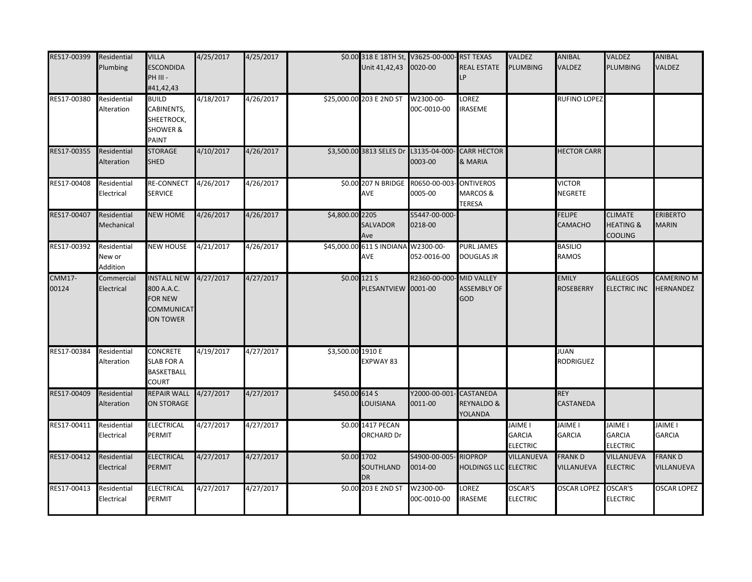| RES17-00399            | Residential<br>Plumbing           | <b>VILLA</b><br><b>ESCONDIDA</b><br>PH III -<br>#41,42,43                                      | 4/25/2017 | 4/25/2017 |                   | Unit 41,42,43                              | \$0.00 318 E 18TH St, V3625-00-000-RST TEXAS<br>0020-00 | <b>REAL ESTATE</b><br>LP                       | VALDEZ<br><b>PLUMBING</b>                          | <b>ANIBAL</b><br><b>VALDEZ</b>   | VALDEZ<br><b>LUMBING</b>                                 | ANIBAL<br>VALDEZ                |
|------------------------|-----------------------------------|------------------------------------------------------------------------------------------------|-----------|-----------|-------------------|--------------------------------------------|---------------------------------------------------------|------------------------------------------------|----------------------------------------------------|----------------------------------|----------------------------------------------------------|---------------------------------|
| RES17-00380            | Residential<br>Alteration         | <b>BUILD</b><br>CABINENTS,<br>SHEETROCK,<br><b>SHOWER &amp;</b><br>PAINT                       | 4/18/2017 | 4/26/2017 |                   | \$25,000.00 203 E 2ND ST                   | W2300-00-<br>00C-0010-00                                | LOREZ<br><b>IRASEME</b>                        |                                                    | <b>RUFINO LOPEZ</b>              |                                                          |                                 |
| RES17-00355            | Residential<br>Alteration         | <b>STORAGE</b><br><b>SHED</b>                                                                  | 4/10/2017 | 4/26/2017 |                   |                                            | \$3,500.00 3813 SELES Dr L3135-04-000-<br>0003-00       | <b>CARR HECTOR</b><br>& MARIA                  |                                                    | <b>HECTOR CARR</b>               |                                                          |                                 |
| RES17-00408            | Residential<br>Electrical         | <b>RE-CONNECT</b><br><b>SERVICE</b>                                                            | 4/26/2017 | 4/26/2017 |                   | \$0.00 207 N BRIDGE<br>AVE                 | R0650-00-003<br>0005-00                                 | <b>ONTIVEROS</b><br>MARCOS &<br><b>TERESA</b>  |                                                    | <b>VICTOR</b><br><b>NEGRETE</b>  |                                                          |                                 |
| RES17-00407            | Residential<br>Mechanical         | <b>NEW HOME</b>                                                                                | 4/26/2017 | 4/26/2017 | \$4,800.00 2205   | SALVADOR<br>Ave                            | S5447-00-000-<br>0218-00                                |                                                |                                                    | <b>FELIPE</b><br><b>CAMACHO</b>  | <b>CLIMATE</b><br><b>HEATING &amp;</b><br><b>COOLING</b> | <b>ERIBERTO</b><br><b>MARIN</b> |
| RES17-00392            | Residential<br>New or<br>Addition | <b>NEW HOUSE</b>                                                                               | 4/21/2017 | 4/26/2017 |                   | \$45,000.00 611 S INDIANA W2300-00-<br>AVE | 052-0016-00                                             | <b>PURL JAMES</b><br><b>DOUGLAS JR</b>         |                                                    | <b>BASILIO</b><br><b>RAMOS</b>   |                                                          |                                 |
| <b>CMM17-</b><br>00124 | Commercial<br>Electrical          | <b>INSTALL NEW 4/27/2017</b><br>800 A.A.C.<br><b>FOR NEW</b><br>COMMUNICAT<br><b>ION TOWER</b> |           | 4/27/2017 |                   | \$0.00 121 S<br>PLESANTVIEW 0001-00        | R2360-00-000                                            | MID VALLEY<br><b>ASSEMBLY OF</b><br>GOD        |                                                    | <b>EMILY</b><br><b>ROSEBERRY</b> | <b>GALLEGOS</b><br><b>ELECTRIC INC</b>                   | CAMERINO M<br>HERNANDEZ         |
| RES17-00384            | Residential<br>Alteration         | <b>CONCRETE</b><br><b>SLAB FOR A</b><br><b>BASKETBALL</b><br><b>COURT</b>                      | 4/19/2017 | 4/27/2017 | \$3,500.00 1910 E | EXPWAY 83                                  |                                                         |                                                |                                                    | <b>JUAN</b><br><b>RODRIGUEZ</b>  |                                                          |                                 |
| RES17-00409            | Residential<br>Alteration         | <b>REPAIR WALL</b><br><b>ON STORAGE</b>                                                        | 4/27/2017 | 4/27/2017 | \$450.00 614 S    | LOUISIANA                                  | Y2000-00-001- CASTANEDA<br>0011-00                      | <b>REYNALDO &amp;</b><br><b>YOLANDA</b>        |                                                    | <b>REY</b><br>CASTANEDA          |                                                          |                                 |
| RES17-00411            | Residential<br>Electrical         | ELECTRICAL<br>PERMIT                                                                           | 4/27/2017 | 4/27/2017 |                   | \$0.00 1417 PECAN<br>ORCHARD Dr            |                                                         |                                                | <b>JAIME I</b><br><b>GARCIA</b><br><b>ELECTRIC</b> | JAIME I<br><b>GARCIA</b>         | JAIME I<br><b>GARCIA</b><br><b>ELECTRIC</b>              | JAIME I<br><b>GARCIA</b>        |
| RES17-00412            | Residential<br>Electrical         | <b>ELECTRICAL</b><br>PERMIT                                                                    | 4/27/2017 | 4/27/2017 |                   | \$0.00 1702<br>SOUTHLAND<br><b>DR</b>      | S4900-00-005-<br>0014-00                                | <b>RIOPROP</b><br><b>HOLDINGS LLC ELECTRIC</b> | VILLANUEVA                                         | <b>FRANKD</b><br>VILLANUEVA      | VILLANUEVA<br><b>ELECTRIC</b>                            | <b>FRANK D</b><br>VILLANUEVA    |
| RES17-00413            | Residential<br>Electrical         | ELECTRICAL<br>PERMIT                                                                           | 4/27/2017 | 4/27/2017 |                   | \$0.00 203 E 2ND ST                        | W2300-00-<br>00C-0010-00                                | LOREZ<br><b>IRASEME</b>                        | OSCAR'S<br><b>ELECTRIC</b>                         | <b>OSCAR LOPEZ</b>               | OSCAR'S<br><b>ELECTRIC</b>                               | <b>OSCAR LOPEZ</b>              |